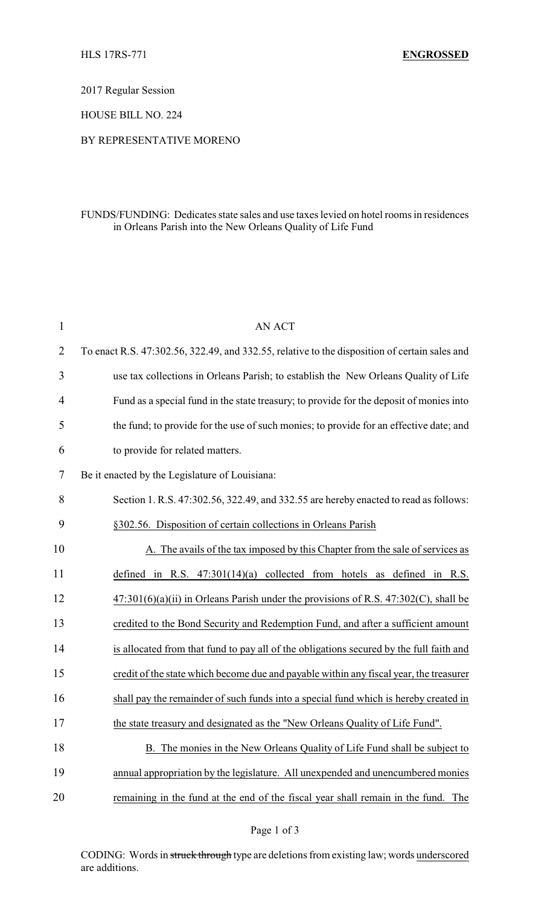2017 Regular Session

HOUSE BILL NO. 224

## BY REPRESENTATIVE MORENO

## FUNDS/FUNDING: Dedicates state sales and use taxes levied on hotel rooms in residences in Orleans Parish into the New Orleans Quality of Life Fund

| $\mathbf{1}$   | <b>AN ACT</b>                                                                                 |
|----------------|-----------------------------------------------------------------------------------------------|
| $\overline{2}$ | To enact R.S. 47:302.56, 322.49, and 332.55, relative to the disposition of certain sales and |
| 3              | use tax collections in Orleans Parish; to establish the New Orleans Quality of Life           |
| 4              | Fund as a special fund in the state treasury; to provide for the deposit of monies into       |
| 5              | the fund; to provide for the use of such monies; to provide for an effective date; and        |
| 6              | to provide for related matters.                                                               |
| 7              | Be it enacted by the Legislature of Louisiana:                                                |
| 8              | Section 1, R.S. 47:302.56, 322.49, and 332.55 are hereby enacted to read as follows:          |
| 9              | §302.56. Disposition of certain collections in Orleans Parish                                 |
| 10             | A. The avails of the tax imposed by this Chapter from the sale of services as                 |
| 11             | defined in R.S. $47:301(14)(a)$ collected from hotels as defined in R.S.                      |
| 12             | $47:301(6)(a)(ii)$ in Orleans Parish under the provisions of R.S. $47:302(C)$ , shall be      |
| 13             | credited to the Bond Security and Redemption Fund, and after a sufficient amount              |
| 14             | is allocated from that fund to pay all of the obligations secured by the full faith and       |
| 15             | credit of the state which become due and payable within any fiscal year, the treasurer        |
| 16             | shall pay the remainder of such funds into a special fund which is hereby created in          |
| 17             | the state treasury and designated as the "New Orleans Quality of Life Fund".                  |
| 18             | B. The monies in the New Orleans Quality of Life Fund shall be subject to                     |
| 19             | annual appropriation by the legislature. All unexpended and unencumbered monies               |
| 20             | remaining in the fund at the end of the fiscal year shall remain in the fund. The             |

CODING: Words in struck through type are deletions from existing law; words underscored are additions.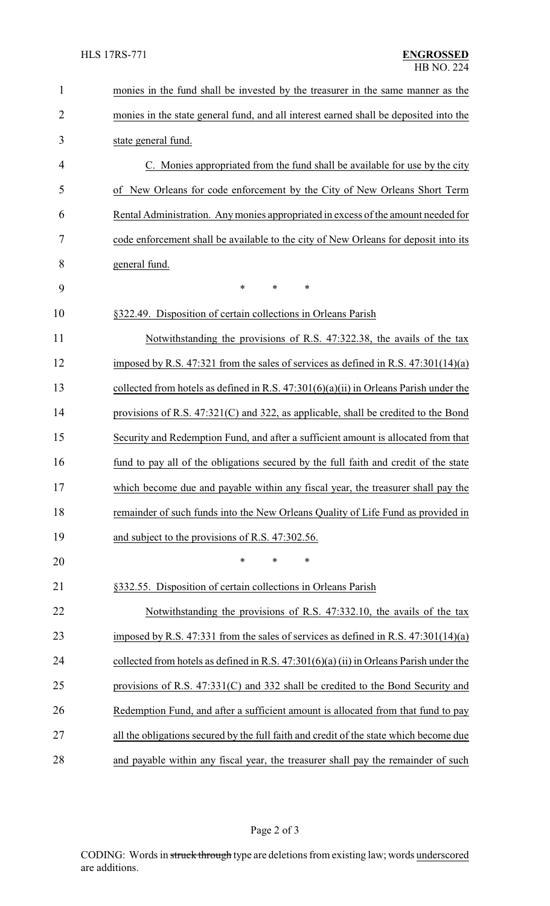| $\mathbf{1}$   | monies in the fund shall be invested by the treasurer in the same manner as the         |
|----------------|-----------------------------------------------------------------------------------------|
| $\overline{2}$ | monies in the state general fund, and all interest earned shall be deposited into the   |
| 3              | state general fund.                                                                     |
| 4              | C. Monies appropriated from the fund shall be available for use by the city             |
| 5              | New Orleans for code enforcement by the City of New Orleans Short Term<br><sub>of</sub> |
| 6              | Rental Administration. Any monies appropriated in excess of the amount needed for       |
| 7              | code enforcement shall be available to the city of New Orleans for deposit into its     |
| 8              | general fund.                                                                           |
| 9              | *<br>*<br>*                                                                             |
| 10             | §322.49. Disposition of certain collections in Orleans Parish                           |
| 11             | Notwithstanding the provisions of R.S. 47:322.38, the avails of the tax                 |
| 12             | imposed by R.S. 47:321 from the sales of services as defined in R.S. $47:301(14)(a)$    |
| 13             | collected from hotels as defined in R.S. $47:301(6)(a)(ii)$ in Orleans Parish under the |
| 14             | provisions of R.S. 47:321(C) and 322, as applicable, shall be credited to the Bond      |
| 15             | Security and Redemption Fund, and after a sufficient amount is allocated from that      |
| 16             | fund to pay all of the obligations secured by the full faith and credit of the state    |
| 17             | which become due and payable within any fiscal year, the treasurer shall pay the        |
| 18             | remainder of such funds into the New Orleans Quality of Life Fund as provided in        |
| 19             | and subject to the provisions of R.S. 47:302.56.                                        |
| 20             | *<br>*<br>*                                                                             |
| 21             | §332.55. Disposition of certain collections in Orleans Parish                           |
| 22             | Notwithstanding the provisions of R.S. 47:332.10, the avails of the tax                 |
| 23             | imposed by R.S. 47:331 from the sales of services as defined in R.S. $47:301(14)(a)$    |
| 24             | collected from hotels as defined in R.S. $47:301(6)(a)(ii)$ in Orleans Parish under the |
| 25             | provisions of R.S. $47:331(C)$ and 332 shall be credited to the Bond Security and       |
| 26             | Redemption Fund, and after a sufficient amount is allocated from that fund to pay       |
| 27             | all the obligations secured by the full faith and credit of the state which become due  |
| 28             | and payable within any fiscal year, the treasurer shall pay the remainder of such       |